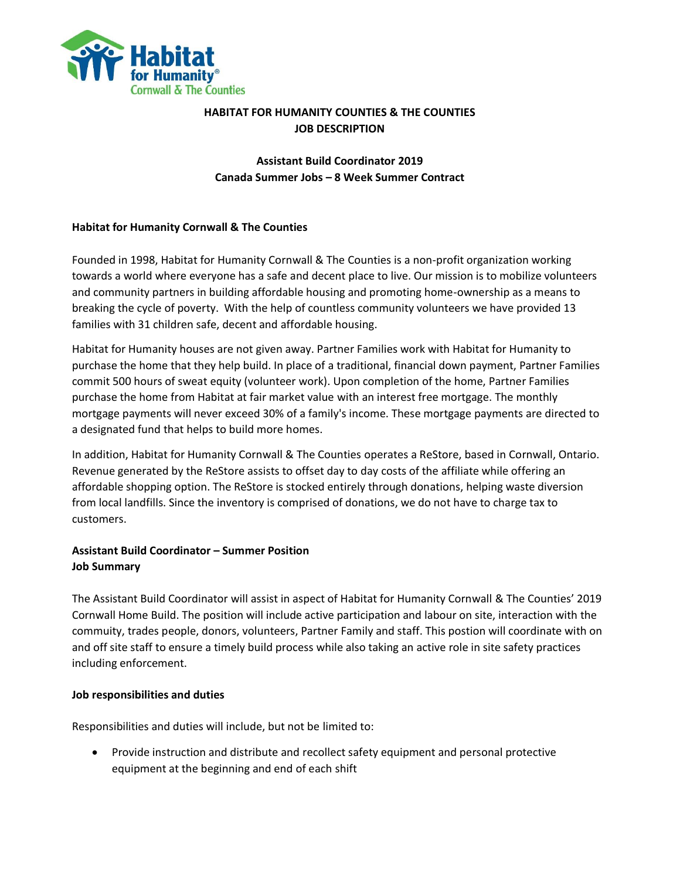

# **HABITAT FOR HUMANITY COUNTIES & THE COUNTIES JOB DESCRIPTION**

# **Assistant Build Coordinator 2019 Canada Summer Jobs – 8 Week Summer Contract**

## **Habitat for Humanity Cornwall & The Counties**

Founded in 1998, Habitat for Humanity Cornwall & The Counties is a non-profit organization working towards a world where everyone has a safe and decent place to live. Our mission is to mobilize volunteers and community partners in building affordable housing and promoting home-ownership as a means to breaking the cycle of poverty. With the help of countless community volunteers we have provided 13 families with 31 children safe, decent and affordable housing.

Habitat for Humanity houses are not given away. Partner Families work with Habitat for Humanity to purchase the home that they help build. In place of a traditional, financial down payment, Partner Families commit 500 hours of sweat equity (volunteer work). Upon completion of the home, Partner Families purchase the home from Habitat at fair market value with an interest free mortgage. The monthly mortgage payments will never exceed 30% of a family's income. These mortgage payments are directed to a designated fund that helps to build more homes.

In addition, Habitat for Humanity Cornwall & The Counties operates a ReStore, based in Cornwall, Ontario. Revenue generated by the ReStore assists to offset day to day costs of the affiliate while offering an affordable shopping option. The ReStore is stocked entirely through donations, helping waste diversion from local landfills. Since the inventory is comprised of donations, we do not have to charge tax to customers.

## **Assistant Build Coordinator – Summer Position Job Summary**

The Assistant Build Coordinator will assist in aspect of Habitat for Humanity Cornwall & The Counties' 2019 Cornwall Home Build. The position will include active participation and labour on site, interaction with the commuity, trades people, donors, volunteers, Partner Family and staff. This postion will coordinate with on and off site staff to ensure a timely build process while also taking an active role in site safety practices including enforcement.

#### **Job responsibilities and duties**

Responsibilities and duties will include, but not be limited to:

 Provide instruction and distribute and recollect safety equipment and personal protective equipment at the beginning and end of each shift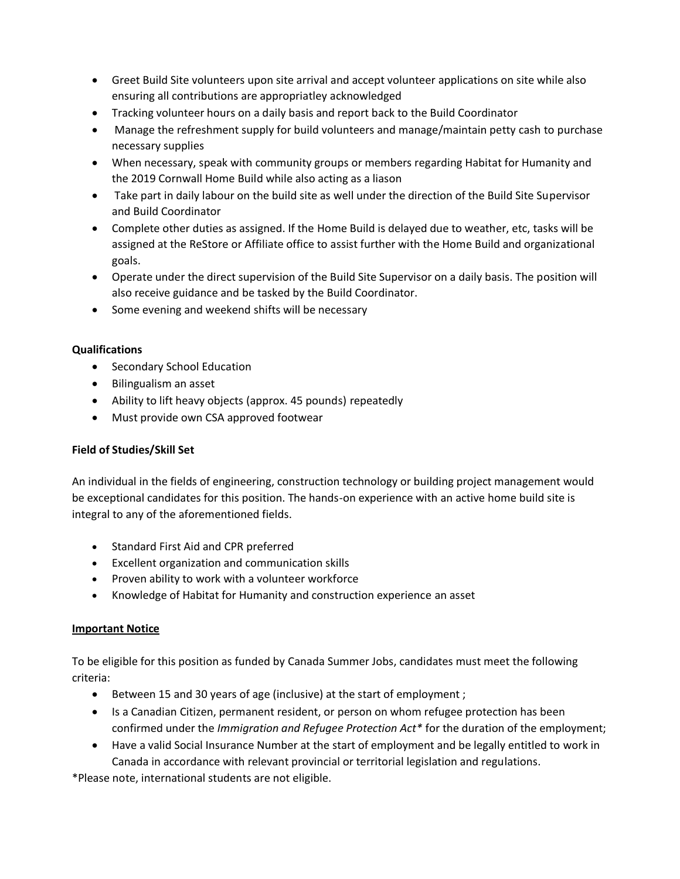- Greet Build Site volunteers upon site arrival and accept volunteer applications on site while also ensuring all contributions are appropriatley acknowledged
- Tracking volunteer hours on a daily basis and report back to the Build Coordinator
- Manage the refreshment supply for build volunteers and manage/maintain petty cash to purchase necessary supplies
- When necessary, speak with community groups or members regarding Habitat for Humanity and the 2019 Cornwall Home Build while also acting as a liason
- Take part in daily labour on the build site as well under the direction of the Build Site Supervisor and Build Coordinator
- Complete other duties as assigned. If the Home Build is delayed due to weather, etc, tasks will be assigned at the ReStore or Affiliate office to assist further with the Home Build and organizational goals.
- Operate under the direct supervision of the Build Site Supervisor on a daily basis. The position will also receive guidance and be tasked by the Build Coordinator.
- Some evening and weekend shifts will be necessary

### **Qualifications**

- Secondary School Education
- Bilingualism an asset
- Ability to lift heavy objects (approx. 45 pounds) repeatedly
- Must provide own CSA approved footwear

## **Field of Studies/Skill Set**

An individual in the fields of engineering, construction technology or building project management would be exceptional candidates for this position. The hands-on experience with an active home build site is integral to any of the aforementioned fields.

- Standard First Aid and CPR preferred
- Excellent organization and communication skills
- Proven ability to work with a volunteer workforce
- Knowledge of Habitat for Humanity and construction experience an asset

## **Important Notice**

To be eligible for this position as funded by Canada Summer Jobs, candidates must meet the following criteria:

- Between 15 and 30 years of age (inclusive) at the start of employment ;
- Is a Canadian Citizen, permanent resident, or person on whom refugee protection has been confirmed under the *Immigration and Refugee Protection Act\** for the duration of the employment;
- Have a valid Social Insurance Number at the start of employment and be legally entitled to work in Canada in accordance with relevant provincial or territorial legislation and regulations.

\*Please note, international students are not eligible.